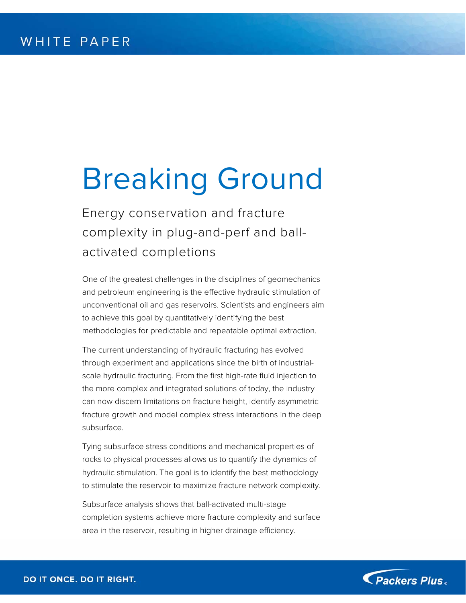# Breaking Ground

Energy conservation and fracture complexity in plug-and-perf and ballactivated completions

One of the greatest challenges in the disciplines of geomechanics and petroleum engineering is the effective hydraulic stimulation of unconventional oil and gas reservoirs. Scientists and engineers aim to achieve this goal by quantitatively identifying the best methodologies for predictable and repeatable optimal extraction.

The current understanding of hydraulic fracturing has evolved through experiment and applications since the birth of industrialscale hydraulic fracturing. From the first high-rate fluid injection to the more complex and integrated solutions of today, the industry can now discern limitations on fracture height, identify asymmetric fracture growth and model complex stress interactions in the deep subsurface.

Tying subsurface stress conditions and mechanical properties of rocks to physical processes allows us to quantify the dynamics of hydraulic stimulation. The goal is to identify the best methodology to stimulate the reservoir to maximize fracture network complexity.

Subsurface analysis shows that ball-activated multi-stage completion systems achieve more fracture complexity and surface area in the reservoir, resulting in higher drainage efficiency.

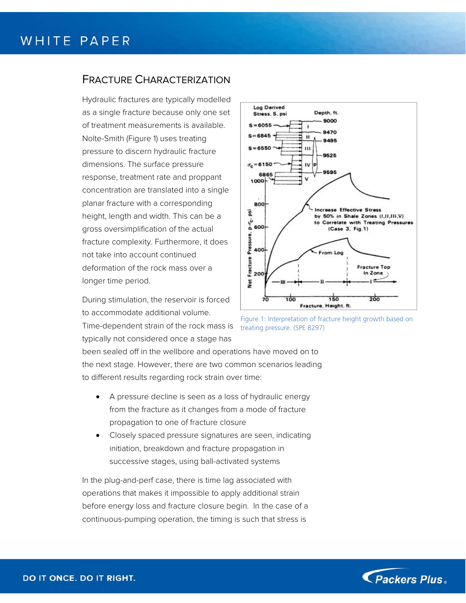#### FRACTURE CHARACTERIZATION

Hydraulic fractures are typically modelled as a single fracture because only one set of treatment measurements is available. Nolte-Smith (Figure 1) uses treating pressure to discern hydraulic fracture dimensions. The surface pressure response, treatment rate and proppant concentration are translated into a single planar fracture with a corresponding height, length and width. This can be a gross oversimplification of the actual fracture complexity. Furthermore, it does not take into account continued deformation of the rock mass over a longer time period.

During stimulation, the reservoir is forced to accommodate additional volume.

Time-dependent strain of the rock mass is typically not considered once a stage has



Figure 1: Interpretation of fracture height growth based on treating pressure. (SPE 8297)

been sealed off in the wellbore and operations have moved on to the next stage. However, there are two common scenarios leading to different results regarding rock strain over time:

- A pressure decline is seen as a loss of hydraulic energy from the fracture as it changes from a mode of fracture propagation to one of fracture closure
- Closely spaced pressure signatures are seen, indicating initiation, breakdown and fracture propagation in successive stages, using ball-activated systems

In the plug-and-perf case, there is time lag associated with operations that makes it impossible to apply additional strain before energy loss and fracture closure begin. In the case of a continuous-pumping operation, the timing is such that stress is

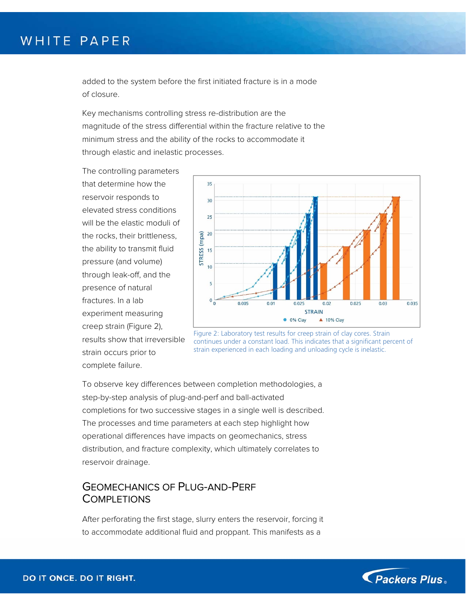added to the system before the first initiated fracture is in a mode of closure.

Key mechanisms controlling stress re-distribution are the magnitude of the stress differential within the fracture relative to the minimum stress and the ability of the rocks to accommodate it through elastic and inelastic processes.

The controlling parameters that determine how the reservoir responds to elevated stress conditions will be the elastic moduli of the rocks, their brittleness, the ability to transmit fluid pressure (and volume) through leak-off, and the presence of natural fractures. In a lab experiment measuring creep strain (Figure 2), results show that irreversible strain occurs prior to complete failure.



Figure 2: Laboratory test results for creep strain of clay cores. Strain continues under a constant load. This indicates that a significant percent of strain experienced in each loading and unloading cycle is inelastic.

To observe key differences between completion methodologies, a step-by-step analysis of plug-and-perf and ball-activated completions for two successive stages in a single well is described. The processes and time parameters at each step highlight how operational differences have impacts on geomechanics, stress distribution, and fracture complexity, which ultimately correlates to reservoir drainage.

#### GEOMECHANICS OF PLUG-AND-PERF **COMPLETIONS**

After perforating the first stage, slurry enters the reservoir, forcing it to accommodate additional fluid and proppant. This manifests as a

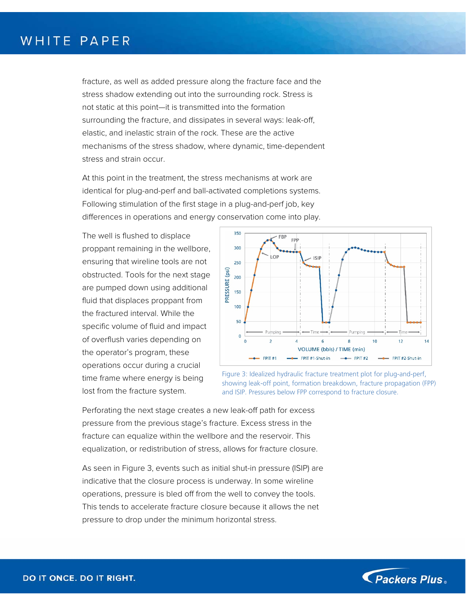fracture, as well as added pressure along the fracture face and the stress shadow extending out into the surrounding rock. Stress is not static at this point—it is transmitted into the formation surrounding the fracture, and dissipates in several ways: leak-off, elastic, and inelastic strain of the rock. These are the active mechanisms of the stress shadow, where dynamic, time-dependent stress and strain occur.

At this point in the treatment, the stress mechanisms at work are identical for plug-and-perf and ball-activated completions systems. Following stimulation of the first stage in a plug-and-perf job, key differences in operations and energy conservation come into play.

The well is flushed to displace proppant remaining in the wellbore, ensuring that wireline tools are not obstructed. Tools for the next stage are pumped down using additional fluid that displaces proppant from the fractured interval. While the specific volume of fluid and impact of overflush varies depending on the operator's program, these operations occur during a crucial time frame where energy is being lost from the fracture system.



Figure 3: Idealized hydraulic fracture treatment plot for plug-and-perf, showing leak-off point, formation breakdown, fracture propagation (FPP) and ISIP. Pressures below FPP correspond to fracture closure.

Perforating the next stage creates a new leak-off path for excess pressure from the previous stage's fracture. Excess stress in the fracture can equalize within the wellbore and the reservoir. This equalization, or redistribution of stress, allows for fracture closure.

As seen in Figure 3, events such as initial shut-in pressure (ISIP) are indicative that the closure process is underway. In some wireline operations, pressure is bled off from the well to convey the tools. This tends to accelerate fracture closure because it allows the net pressure to drop under the minimum horizontal stress.

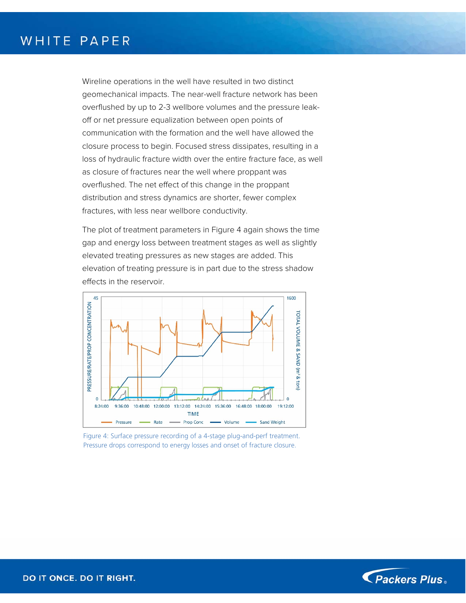Wireline operations in the well have resulted in two distinct geomechanical impacts. The near-well fracture network has been overflushed by up to 2-3 wellbore volumes and the pressure leakoff or net pressure equalization between open points of communication with the formation and the well have allowed the closure process to begin. Focused stress dissipates, resulting in a loss of hydraulic fracture width over the entire fracture face, as well as closure of fractures near the well where proppant was overflushed. The net effect of this change in the proppant distribution and stress dynamics are shorter, fewer complex fractures, with less near wellbore conductivity.

The plot of treatment parameters in Figure 4 again shows the time gap and energy loss between treatment stages as well as slightly elevated treating pressures as new stages are added. This elevation of treating pressure is in part due to the stress shadow effects in the reservoir.



Figure 4: Surface pressure recording of a 4-stage plug-and-perf treatment. Pressure drops correspond to energy losses and onset of fracture closure.

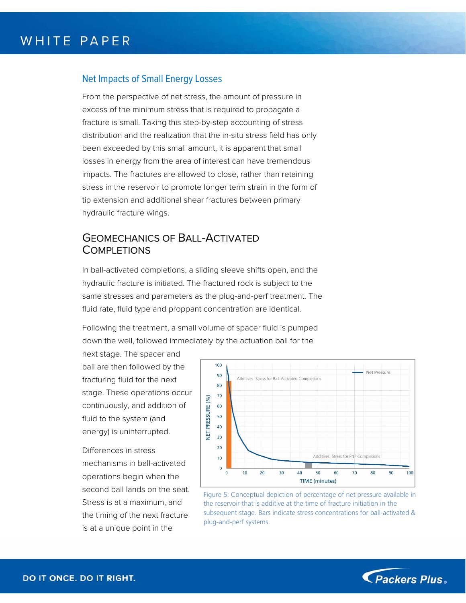#### Net Impacts of Small Energy Losses

From the perspective of net stress, the amount of pressure in excess of the minimum stress that is required to propagate a fracture is small. Taking this step-by-step accounting of stress distribution and the realization that the in-situ stress field has only been exceeded by this small amount, it is apparent that small losses in energy from the area of interest can have tremendous impacts. The fractures are allowed to close, rather than retaining stress in the reservoir to promote longer term strain in the form of tip extension and additional shear fractures between primary hydraulic fracture wings.

#### GEOMECHANICS OF BALL-ACTIVATED **COMPLETIONS**

In ball-activated completions, a sliding sleeve shifts open, and the hydraulic fracture is initiated. The fractured rock is subject to the same stresses and parameters as the plug-and-perf treatment. The fluid rate, fluid type and proppant concentration are identical.

Following the treatment, a small volume of spacer fluid is pumped down the well, followed immediately by the actuation ball for the

next stage. The spacer and ball are then followed by the fracturing fluid for the next stage. These operations occur continuously, and addition of fluid to the system (and energy) is uninterrupted.

Differences in stress mechanisms in ball-activated operations begin when the second ball lands on the seat. Stress is at a maximum, and the timing of the next fracture is at a unique point in the



Figure 5: Conceptual depiction of percentage of net pressure available in the reservoir that is additive at the time of fracture initiation in the subsequent stage. Bars indicate stress concentrations for ball-activated & plug-and-perf systems.

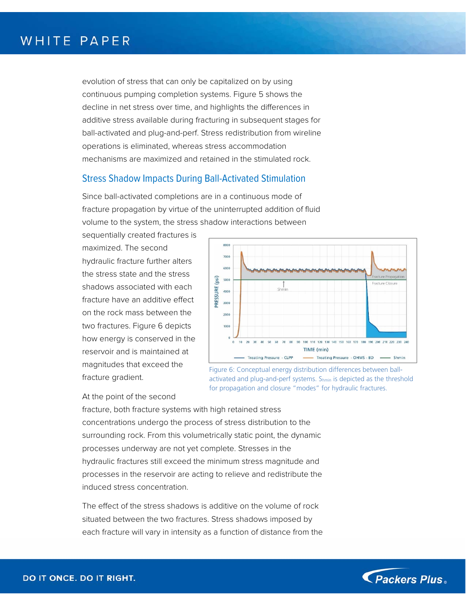evolution of stress that can only be capitalized on by using continuous pumping completion systems. Figure 5 shows the decline in net stress over time, and highlights the differences in additive stress available during fracturing in subsequent stages for ball-activated and plug-and-perf. Stress redistribution from wireline operations is eliminated, whereas stress accommodation mechanisms are maximized and retained in the stimulated rock.

#### Stress Shadow Impacts During Ball-Activated Stimulation

Since ball-activated completions are in a continuous mode of fracture propagation by virtue of the uninterrupted addition of fluid volume to the system, the stress shadow interactions between

sequentially created fractures is maximized. The second hydraulic fracture further alters the stress state and the stress shadows associated with each fracture have an additive effect on the rock mass between the two fractures. Figure 6 depicts how energy is conserved in the reservoir and is maintained at magnitudes that exceed the fracture gradient.



Figure 6: Conceptual energy distribution differences between ballactivated and plug-and-perf systems. Shmin is depicted as the threshold for propagation and closure "modes" for hydraulic fractures.

#### At the point of the second

fracture, both fracture systems with high retained stress concentrations undergo the process of stress distribution to the surrounding rock. From this volumetrically static point, the dynamic processes underway are not yet complete. Stresses in the hydraulic fractures still exceed the minimum stress magnitude and processes in the reservoir are acting to relieve and redistribute the induced stress concentration.

The effect of the stress shadows is additive on the volume of rock situated between the two fractures. Stress shadows imposed by each fracture will vary in intensity as a function of distance from the

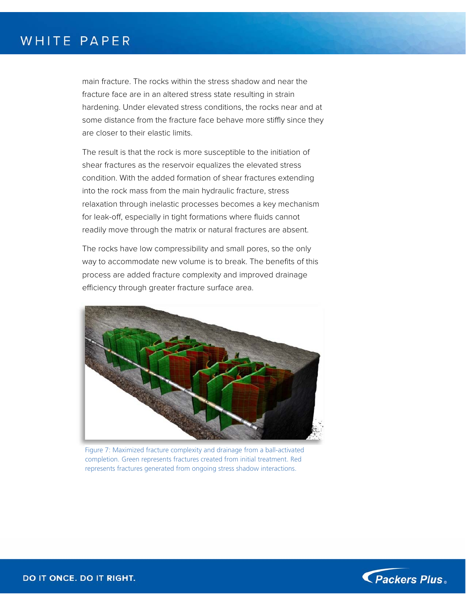main fracture. The rocks within the stress shadow and near the fracture face are in an altered stress state resulting in strain hardening. Under elevated stress conditions, the rocks near and at some distance from the fracture face behave more stiffly since they are closer to their elastic limits.

The result is that the rock is more susceptible to the initiation of shear fractures as the reservoir equalizes the elevated stress condition. With the added formation of shear fractures extending into the rock mass from the main hydraulic fracture, stress relaxation through inelastic processes becomes a key mechanism for leak-off, especially in tight formations where fluids cannot readily move through the matrix or natural fractures are absent.

The rocks have low compressibility and small pores, so the only way to accommodate new volume is to break. The benefits of this process are added fracture complexity and improved drainage efficiency through greater fracture surface area.



Figure 7: Maximized fracture complexity and drainage from a ball-activated completion. Green represents fractures created from initial treatment. Red represents fractures generated from ongoing stress shadow interactions.

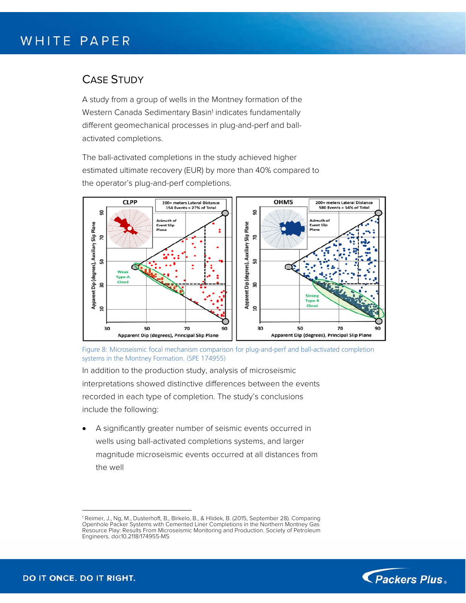#### CASE STUDY

A study from a group of wells in the Montney formation of the Western Canada Sedimentary Basin<sup>1</sup> indicates fundamentally different geomechanical processes in plug-and-perf and ballactivated completions.

The ball-activated completions in the study achieved higher estimated ultimate recovery (EUR) by more than 40% compared to the operator's plug-and-perf completions.



Figure 8: Microseismic focal mechanism comparison for plug-and-perf and ball-activated completion systems in the Montney Formation. (SPE 174955)

In addition to the production study, analysis of microseismic interpretations showed distinctive differences between the events recorded in each type of completion. The study's conclusions include the following:

 A significantly greater number of seismic events occurred in wells using ball-activated completions systems, and larger magnitude microseismic events occurred at all distances from the well



<sup>1</sup> 1 Reimer, J., Ng, M., Dusterhoft, B., Birkelo, B., & Hlidek, B. (2015, September 28). Comparing Openhole Packer Systems with Cemented Liner Completions in the Northern Montney Gas Resource Play: Results From Microseismic Monitoring and Production. Society of Petroleum Engineers. doi:10.2118/174955-MS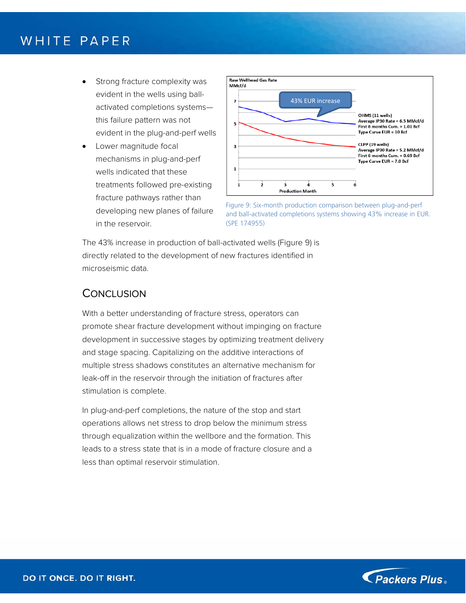- Strong fracture complexity was evident in the wells using ballactivated completions systems this failure pattern was not evident in the plug-and-perf wells
- Lower magnitude focal mechanisms in plug-and-perf wells indicated that these treatments followed pre-existing fracture pathways rather than developing new planes of failure in the reservoir.



Figure 9: Six-month production comparison between plug-and-perf and ball-activated completions systems showing 43% increase in EUR. (SPE 174955)

The 43% increase in production of ball-activated wells (Figure 9) is directly related to the development of new fractures identified in microseismic data.

#### **CONCLUSION**

With a better understanding of fracture stress, operators can promote shear fracture development without impinging on fracture development in successive stages by optimizing treatment delivery and stage spacing. Capitalizing on the additive interactions of multiple stress shadows constitutes an alternative mechanism for leak-off in the reservoir through the initiation of fractures after stimulation is complete.

In plug-and-perf completions, the nature of the stop and start operations allows net stress to drop below the minimum stress through equalization within the wellbore and the formation. This leads to a stress state that is in a mode of fracture closure and a less than optimal reservoir stimulation.